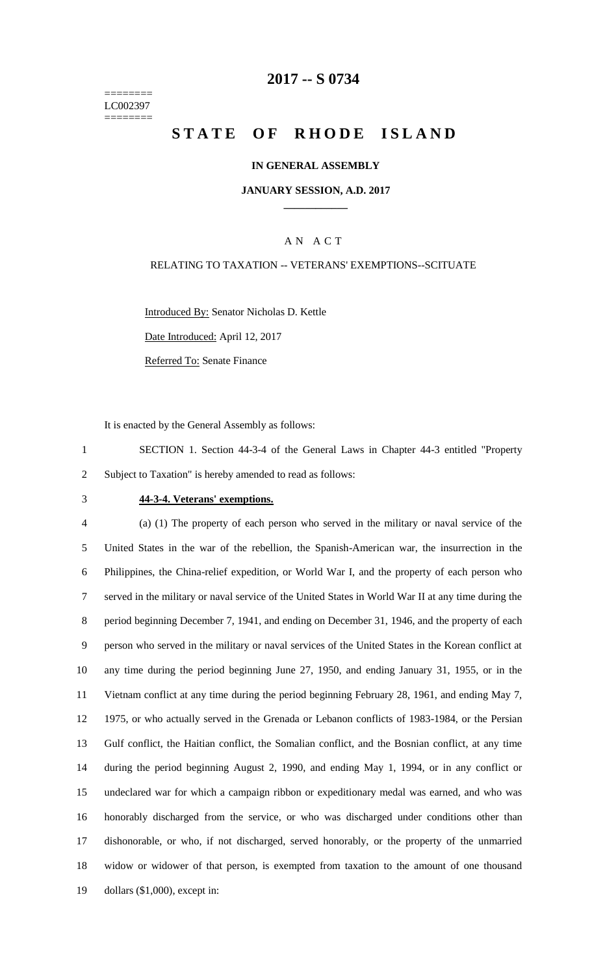======== LC002397 ========

### **-- S 0734**

# **STATE OF RHODE ISLAND**

#### **IN GENERAL ASSEMBLY**

#### **JANUARY SESSION, A.D. 2017 \_\_\_\_\_\_\_\_\_\_\_\_**

### A N A C T

#### RELATING TO TAXATION -- VETERANS' EXEMPTIONS--SCITUATE

Introduced By: Senator Nicholas D. Kettle

Date Introduced: April 12, 2017

Referred To: Senate Finance

It is enacted by the General Assembly as follows:

 SECTION 1. Section 44-3-4 of the General Laws in Chapter 44-3 entitled "Property Subject to Taxation" is hereby amended to read as follows:

#### **44-3-4. Veterans' exemptions.**

 (a) (1) The property of each person who served in the military or naval service of the United States in the war of the rebellion, the Spanish-American war, the insurrection in the Philippines, the China-relief expedition, or World War I, and the property of each person who served in the military or naval service of the United States in World War II at any time during the period beginning December 7, 1941, and ending on December 31, 1946, and the property of each person who served in the military or naval services of the United States in the Korean conflict at any time during the period beginning June 27, 1950, and ending January 31, 1955, or in the Vietnam conflict at any time during the period beginning February 28, 1961, and ending May 7, 1975, or who actually served in the Grenada or Lebanon conflicts of 1983-1984, or the Persian Gulf conflict, the Haitian conflict, the Somalian conflict, and the Bosnian conflict, at any time during the period beginning August 2, 1990, and ending May 1, 1994, or in any conflict or undeclared war for which a campaign ribbon or expeditionary medal was earned, and who was honorably discharged from the service, or who was discharged under conditions other than dishonorable, or who, if not discharged, served honorably, or the property of the unmarried widow or widower of that person, is exempted from taxation to the amount of one thousand dollars (\$1,000), except in: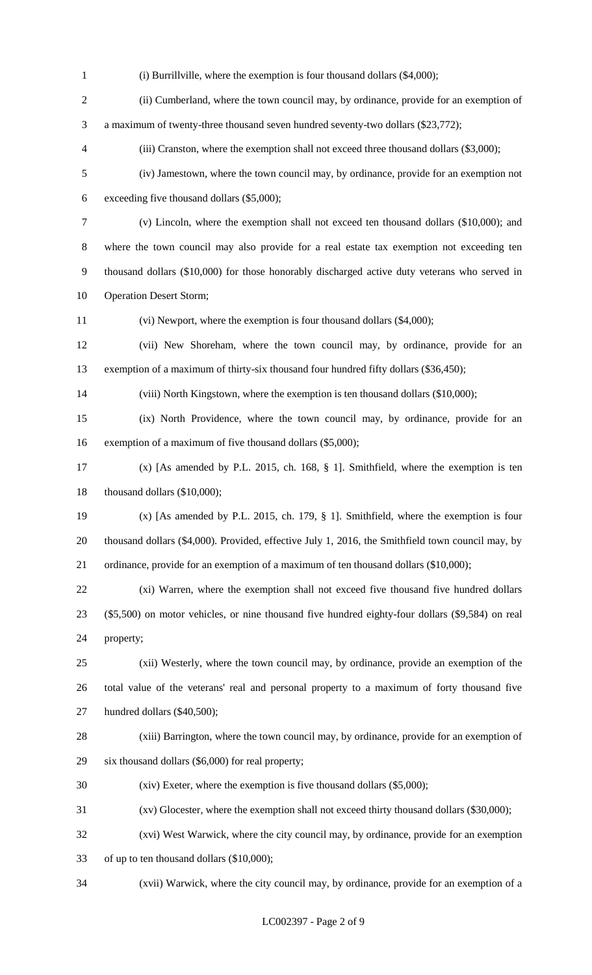(i) Burrillville, where the exemption is four thousand dollars (\$4,000); (ii) Cumberland, where the town council may, by ordinance, provide for an exemption of a maximum of twenty-three thousand seven hundred seventy-two dollars (\$23,772); (iii) Cranston, where the exemption shall not exceed three thousand dollars (\$3,000); (iv) Jamestown, where the town council may, by ordinance, provide for an exemption not exceeding five thousand dollars (\$5,000); (v) Lincoln, where the exemption shall not exceed ten thousand dollars (\$10,000); and where the town council may also provide for a real estate tax exemption not exceeding ten thousand dollars (\$10,000) for those honorably discharged active duty veterans who served in Operation Desert Storm; (vi) Newport, where the exemption is four thousand dollars (\$4,000); (vii) New Shoreham, where the town council may, by ordinance, provide for an exemption of a maximum of thirty-six thousand four hundred fifty dollars (\$36,450); (viii) North Kingstown, where the exemption is ten thousand dollars (\$10,000); (ix) North Providence, where the town council may, by ordinance, provide for an exemption of a maximum of five thousand dollars (\$5,000); (x) [As amended by P.L. 2015, ch. 168, § 1]. Smithfield, where the exemption is ten thousand dollars (\$10,000); (x) [As amended by P.L. 2015, ch. 179, § 1]. Smithfield, where the exemption is four thousand dollars (\$4,000). Provided, effective July 1, 2016, the Smithfield town council may, by ordinance, provide for an exemption of a maximum of ten thousand dollars (\$10,000); (xi) Warren, where the exemption shall not exceed five thousand five hundred dollars (\$5,500) on motor vehicles, or nine thousand five hundred eighty-four dollars (\$9,584) on real property; (xii) Westerly, where the town council may, by ordinance, provide an exemption of the total value of the veterans' real and personal property to a maximum of forty thousand five hundred dollars (\$40,500); (xiii) Barrington, where the town council may, by ordinance, provide for an exemption of six thousand dollars (\$6,000) for real property; (xiv) Exeter, where the exemption is five thousand dollars (\$5,000); (xv) Glocester, where the exemption shall not exceed thirty thousand dollars (\$30,000); (xvi) West Warwick, where the city council may, by ordinance, provide for an exemption of up to ten thousand dollars (\$10,000); (xvii) Warwick, where the city council may, by ordinance, provide for an exemption of a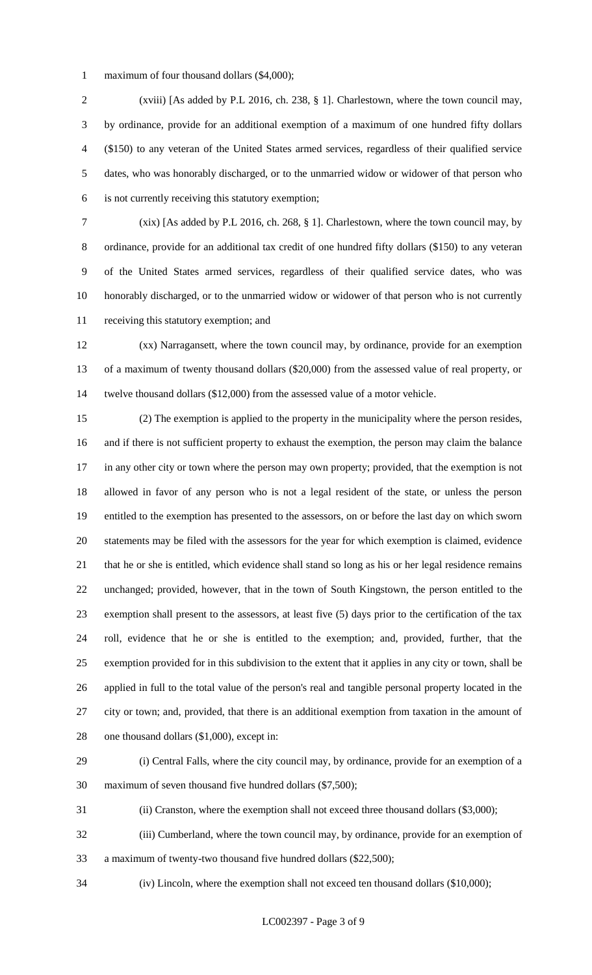maximum of four thousand dollars (\$4,000);

 (xviii) [As added by P.L 2016, ch. 238, § 1]. Charlestown, where the town council may, by ordinance, provide for an additional exemption of a maximum of one hundred fifty dollars (\$150) to any veteran of the United States armed services, regardless of their qualified service dates, who was honorably discharged, or to the unmarried widow or widower of that person who is not currently receiving this statutory exemption;

 (xix) [As added by P.L 2016, ch. 268, § 1]. Charlestown, where the town council may, by ordinance, provide for an additional tax credit of one hundred fifty dollars (\$150) to any veteran of the United States armed services, regardless of their qualified service dates, who was honorably discharged, or to the unmarried widow or widower of that person who is not currently receiving this statutory exemption; and

 (xx) Narragansett, where the town council may, by ordinance, provide for an exemption of a maximum of twenty thousand dollars (\$20,000) from the assessed value of real property, or twelve thousand dollars (\$12,000) from the assessed value of a motor vehicle.

 (2) The exemption is applied to the property in the municipality where the person resides, and if there is not sufficient property to exhaust the exemption, the person may claim the balance in any other city or town where the person may own property; provided, that the exemption is not allowed in favor of any person who is not a legal resident of the state, or unless the person entitled to the exemption has presented to the assessors, on or before the last day on which sworn statements may be filed with the assessors for the year for which exemption is claimed, evidence that he or she is entitled, which evidence shall stand so long as his or her legal residence remains unchanged; provided, however, that in the town of South Kingstown, the person entitled to the exemption shall present to the assessors, at least five (5) days prior to the certification of the tax roll, evidence that he or she is entitled to the exemption; and, provided, further, that the exemption provided for in this subdivision to the extent that it applies in any city or town, shall be applied in full to the total value of the person's real and tangible personal property located in the city or town; and, provided, that there is an additional exemption from taxation in the amount of 28 one thousand dollars (\$1,000), except in:

(i) Central Falls, where the city council may, by ordinance, provide for an exemption of a

maximum of seven thousand five hundred dollars (\$7,500);

(ii) Cranston, where the exemption shall not exceed three thousand dollars (\$3,000);

- (iii) Cumberland, where the town council may, by ordinance, provide for an exemption of a maximum of twenty-two thousand five hundred dollars (\$22,500);
- (iv) Lincoln, where the exemption shall not exceed ten thousand dollars (\$10,000);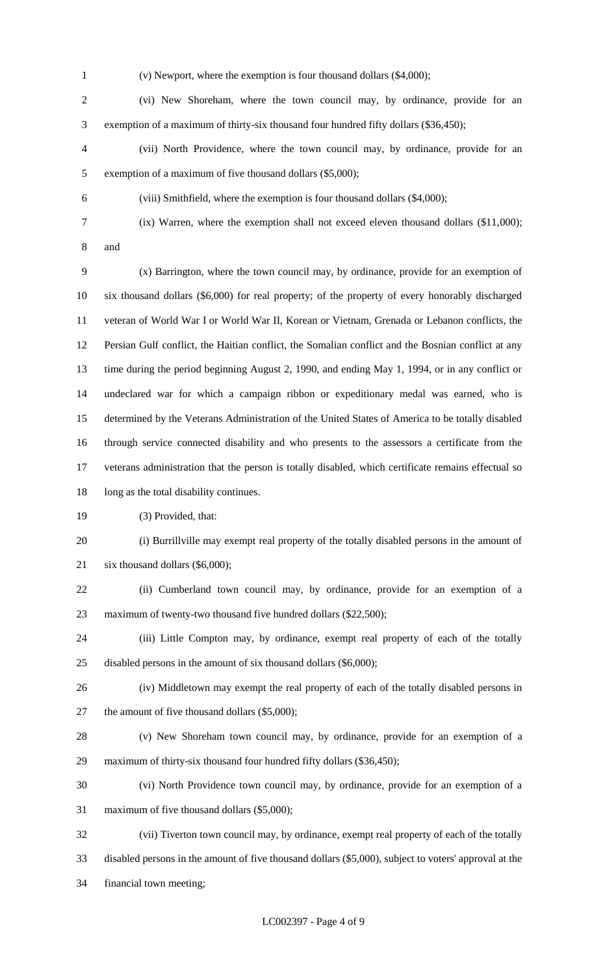(v) Newport, where the exemption is four thousand dollars (\$4,000);

 (vi) New Shoreham, where the town council may, by ordinance, provide for an exemption of a maximum of thirty-six thousand four hundred fifty dollars (\$36,450);

 (vii) North Providence, where the town council may, by ordinance, provide for an exemption of a maximum of five thousand dollars (\$5,000);

(viii) Smithfield, where the exemption is four thousand dollars (\$4,000);

(ix) Warren, where the exemption shall not exceed eleven thousand dollars (\$11,000);

and

 (x) Barrington, where the town council may, by ordinance, provide for an exemption of six thousand dollars (\$6,000) for real property; of the property of every honorably discharged veteran of World War I or World War II, Korean or Vietnam, Grenada or Lebanon conflicts, the Persian Gulf conflict, the Haitian conflict, the Somalian conflict and the Bosnian conflict at any time during the period beginning August 2, 1990, and ending May 1, 1994, or in any conflict or undeclared war for which a campaign ribbon or expeditionary medal was earned, who is determined by the Veterans Administration of the United States of America to be totally disabled through service connected disability and who presents to the assessors a certificate from the veterans administration that the person is totally disabled, which certificate remains effectual so 18 long as the total disability continues.

(3) Provided, that:

 (i) Burrillville may exempt real property of the totally disabled persons in the amount of six thousand dollars (\$6,000);

 (ii) Cumberland town council may, by ordinance, provide for an exemption of a 23 maximum of twenty-two thousand five hundred dollars (\$22,500);

 (iii) Little Compton may, by ordinance, exempt real property of each of the totally disabled persons in the amount of six thousand dollars (\$6,000);

- (iv) Middletown may exempt the real property of each of the totally disabled persons in 27 the amount of five thousand dollars (\$5,000);
- (v) New Shoreham town council may, by ordinance, provide for an exemption of a maximum of thirty-six thousand four hundred fifty dollars (\$36,450);
- (vi) North Providence town council may, by ordinance, provide for an exemption of a
- maximum of five thousand dollars (\$5,000);

 (vii) Tiverton town council may, by ordinance, exempt real property of each of the totally disabled persons in the amount of five thousand dollars (\$5,000), subject to voters' approval at the financial town meeting;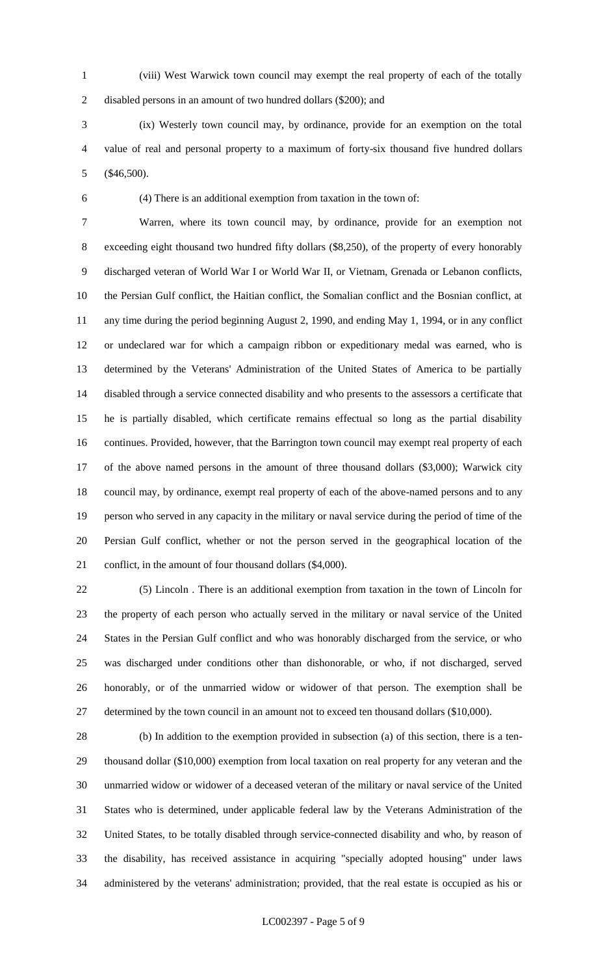(viii) West Warwick town council may exempt the real property of each of the totally disabled persons in an amount of two hundred dollars (\$200); and

 (ix) Westerly town council may, by ordinance, provide for an exemption on the total value of real and personal property to a maximum of forty-six thousand five hundred dollars (\$46,500).

(4) There is an additional exemption from taxation in the town of:

 Warren, where its town council may, by ordinance, provide for an exemption not exceeding eight thousand two hundred fifty dollars (\$8,250), of the property of every honorably discharged veteran of World War I or World War II, or Vietnam, Grenada or Lebanon conflicts, the Persian Gulf conflict, the Haitian conflict, the Somalian conflict and the Bosnian conflict, at any time during the period beginning August 2, 1990, and ending May 1, 1994, or in any conflict or undeclared war for which a campaign ribbon or expeditionary medal was earned, who is determined by the Veterans' Administration of the United States of America to be partially disabled through a service connected disability and who presents to the assessors a certificate that he is partially disabled, which certificate remains effectual so long as the partial disability continues. Provided, however, that the Barrington town council may exempt real property of each of the above named persons in the amount of three thousand dollars (\$3,000); Warwick city council may, by ordinance, exempt real property of each of the above-named persons and to any person who served in any capacity in the military or naval service during the period of time of the Persian Gulf conflict, whether or not the person served in the geographical location of the conflict, in the amount of four thousand dollars (\$4,000).

 (5) Lincoln . There is an additional exemption from taxation in the town of Lincoln for the property of each person who actually served in the military or naval service of the United States in the Persian Gulf conflict and who was honorably discharged from the service, or who was discharged under conditions other than dishonorable, or who, if not discharged, served honorably, or of the unmarried widow or widower of that person. The exemption shall be 27 determined by the town council in an amount not to exceed ten thousand dollars (\$10,000).

 (b) In addition to the exemption provided in subsection (a) of this section, there is a ten- thousand dollar (\$10,000) exemption from local taxation on real property for any veteran and the unmarried widow or widower of a deceased veteran of the military or naval service of the United States who is determined, under applicable federal law by the Veterans Administration of the United States, to be totally disabled through service-connected disability and who, by reason of the disability, has received assistance in acquiring "specially adopted housing" under laws administered by the veterans' administration; provided, that the real estate is occupied as his or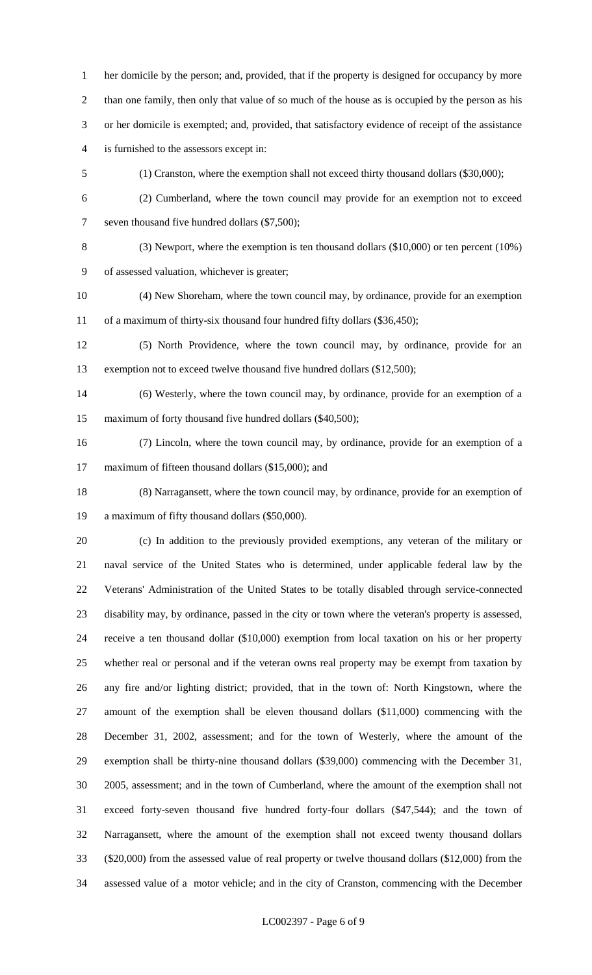her domicile by the person; and, provided, that if the property is designed for occupancy by more than one family, then only that value of so much of the house as is occupied by the person as his or her domicile is exempted; and, provided, that satisfactory evidence of receipt of the assistance is furnished to the assessors except in:

- (1) Cranston, where the exemption shall not exceed thirty thousand dollars (\$30,000);
- (2) Cumberland, where the town council may provide for an exemption not to exceed

seven thousand five hundred dollars (\$7,500);

 (3) Newport, where the exemption is ten thousand dollars (\$10,000) or ten percent (10%) of assessed valuation, whichever is greater;

 (4) New Shoreham, where the town council may, by ordinance, provide for an exemption 11 of a maximum of thirty-six thousand four hundred fifty dollars (\$36,450);

 (5) North Providence, where the town council may, by ordinance, provide for an 13 exemption not to exceed twelve thousand five hundred dollars (\$12,500);

 (6) Westerly, where the town council may, by ordinance, provide for an exemption of a 15 maximum of forty thousand five hundred dollars (\$40,500);

 (7) Lincoln, where the town council may, by ordinance, provide for an exemption of a 17 maximum of fifteen thousand dollars (\$15,000); and

 (8) Narragansett, where the town council may, by ordinance, provide for an exemption of a maximum of fifty thousand dollars (\$50,000).

 (c) In addition to the previously provided exemptions, any veteran of the military or naval service of the United States who is determined, under applicable federal law by the Veterans' Administration of the United States to be totally disabled through service-connected disability may, by ordinance, passed in the city or town where the veteran's property is assessed, receive a ten thousand dollar (\$10,000) exemption from local taxation on his or her property whether real or personal and if the veteran owns real property may be exempt from taxation by any fire and/or lighting district; provided, that in the town of: North Kingstown, where the amount of the exemption shall be eleven thousand dollars (\$11,000) commencing with the December 31, 2002, assessment; and for the town of Westerly, where the amount of the exemption shall be thirty-nine thousand dollars (\$39,000) commencing with the December 31, 2005, assessment; and in the town of Cumberland, where the amount of the exemption shall not exceed forty-seven thousand five hundred forty-four dollars (\$47,544); and the town of Narragansett, where the amount of the exemption shall not exceed twenty thousand dollars (\$20,000) from the assessed value of real property or twelve thousand dollars (\$12,000) from the assessed value of a motor vehicle; and in the city of Cranston, commencing with the December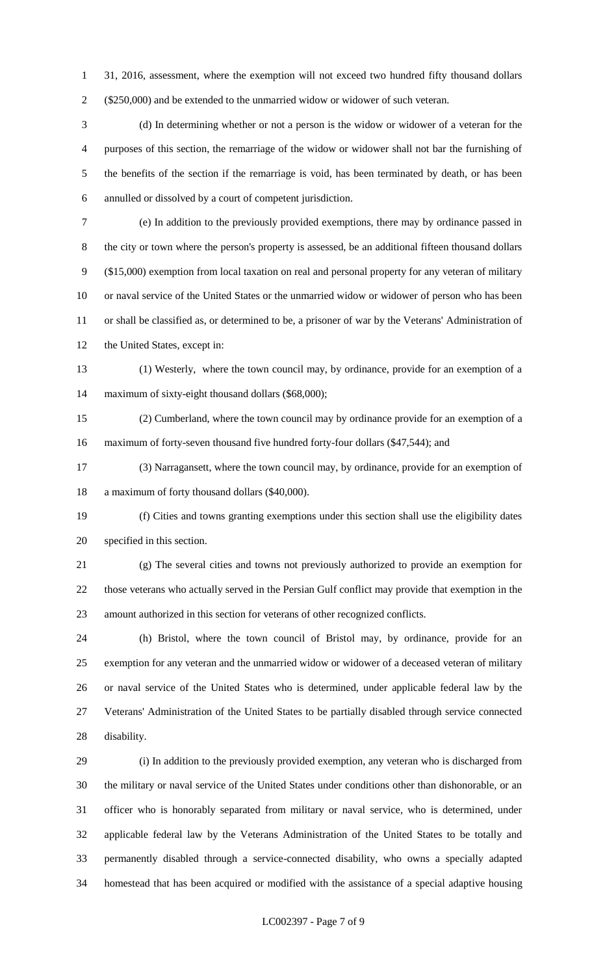31, 2016, assessment, where the exemption will not exceed two hundred fifty thousand dollars (\$250,000) and be extended to the unmarried widow or widower of such veteran.

 (d) In determining whether or not a person is the widow or widower of a veteran for the purposes of this section, the remarriage of the widow or widower shall not bar the furnishing of the benefits of the section if the remarriage is void, has been terminated by death, or has been annulled or dissolved by a court of competent jurisdiction.

 (e) In addition to the previously provided exemptions, there may by ordinance passed in the city or town where the person's property is assessed, be an additional fifteen thousand dollars (\$15,000) exemption from local taxation on real and personal property for any veteran of military or naval service of the United States or the unmarried widow or widower of person who has been or shall be classified as, or determined to be, a prisoner of war by the Veterans' Administration of 12 the United States, except in:

 (1) Westerly, where the town council may, by ordinance, provide for an exemption of a maximum of sixty-eight thousand dollars (\$68,000);

 (2) Cumberland, where the town council may by ordinance provide for an exemption of a maximum of forty-seven thousand five hundred forty-four dollars (\$47,544); and

 (3) Narragansett, where the town council may, by ordinance, provide for an exemption of a maximum of forty thousand dollars (\$40,000).

 (f) Cities and towns granting exemptions under this section shall use the eligibility dates specified in this section.

 (g) The several cities and towns not previously authorized to provide an exemption for those veterans who actually served in the Persian Gulf conflict may provide that exemption in the amount authorized in this section for veterans of other recognized conflicts.

 (h) Bristol, where the town council of Bristol may, by ordinance, provide for an exemption for any veteran and the unmarried widow or widower of a deceased veteran of military or naval service of the United States who is determined, under applicable federal law by the Veterans' Administration of the United States to be partially disabled through service connected disability.

 (i) In addition to the previously provided exemption, any veteran who is discharged from the military or naval service of the United States under conditions other than dishonorable, or an officer who is honorably separated from military or naval service, who is determined, under applicable federal law by the Veterans Administration of the United States to be totally and permanently disabled through a service-connected disability, who owns a specially adapted homestead that has been acquired or modified with the assistance of a special adaptive housing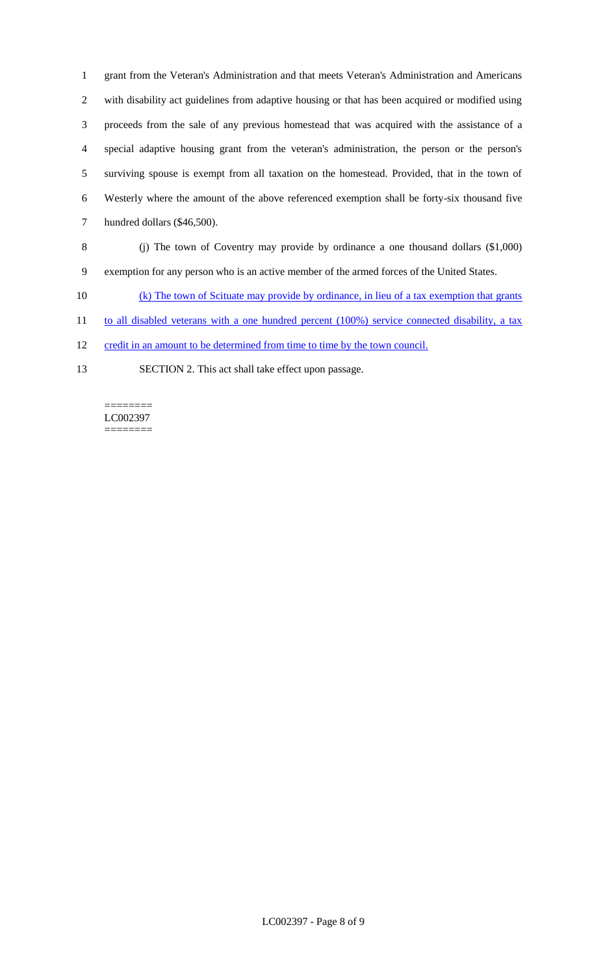grant from the Veteran's Administration and that meets Veteran's Administration and Americans with disability act guidelines from adaptive housing or that has been acquired or modified using proceeds from the sale of any previous homestead that was acquired with the assistance of a special adaptive housing grant from the veteran's administration, the person or the person's surviving spouse is exempt from all taxation on the homestead. Provided, that in the town of Westerly where the amount of the above referenced exemption shall be forty-six thousand five hundred dollars (\$46,500).

- (j) The town of Coventry may provide by ordinance a one thousand dollars (\$1,000) exemption for any person who is an active member of the armed forces of the United States.
- (k) The town of Scituate may provide by ordinance, in lieu of a tax exemption that grants
- 11 to all disabled veterans with a one hundred percent (100%) service connected disability, a tax
- 12 credit in an amount to be determined from time to time by the town council.
- SECTION 2. This act shall take effect upon passage.

======== LC002397 ========